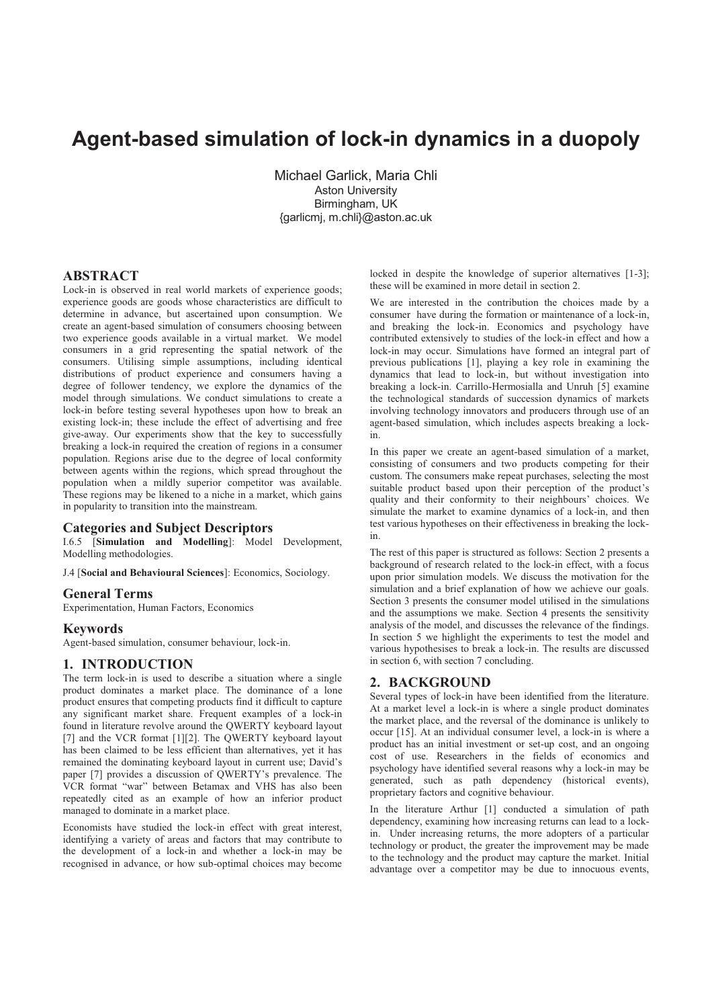# **Agent-based simulation of lock-in dynamics in a duopoly**

Michael Garlick, Maria Chli Aston University Birmingham, UK {garlicmj, m.chli}@aston.ac.uk

# **ABSTRACT**

Lock-in is observed in real world markets of experience goods; experience goods are goods whose characteristics are difficult to determine in advance, but ascertained upon consumption. We create an agent-based simulation of consumers choosing between two experience goods available in a virtual market. We model consumers in a grid representing the spatial network of the consumers. Utilising simple assumptions, including identical distributions of product experience and consumers having a degree of follower tendency, we explore the dynamics of the model through simulations. We conduct simulations to create a lock-in before testing several hypotheses upon how to break an existing lock-in; these include the effect of advertising and free give-away. Our experiments show that the key to successfully breaking a lock-in required the creation of regions in a consumer population. Regions arise due to the degree of local conformity between agents within the regions, which spread throughout the population when a mildly superior competitor was available. These regions may be likened to a niche in a market, which gains in popularity to transition into the mainstream.

#### **Categories and Subject Descriptors**

I.6.5 [**Simulation and Modelling**]: Model Development, Modelling methodologies.

J.4 [**Social and Behavioural Sciences**]: Economics, Sociology.

#### **General Terms**

Experimentation, Human Factors, Economics

#### **Keywords**

Agent-based simulation, consumer behaviour, lock-in.

# **1. INTRODUCTION**

The term lock-in is used to describe a situation where a single product dominates a market place. The dominance of a lone product ensures that competing products find it difficult to capture any significant market share. Frequent examples of a lock-in found in literature revolve around the QWERTY keyboard layout [7] and the VCR format [1][2]. The QWERTY keyboard layout has been claimed to be less efficient than alternatives, yet it has remained the dominating keyboard layout in current use; David's paper [7] provides a discussion of QWERTY's prevalence. The VCR format "war" between Betamax and VHS has also been repeatedly cited as an example of how an inferior product managed to dominate in a market place.

Economists have studied the lock-in effect with great interest, identifying a variety of areas and factors that may contribute to the development of a lock-in and whether a lock-in may be recognised in advance, or how sub-optimal choices may become locked in despite the knowledge of superior alternatives [1-3]; these will be examined in more detail in section 2.

We are interested in the contribution the choices made by a consumer have during the formation or maintenance of a lock-in, and breaking the lock-in. Economics and psychology have contributed extensively to studies of the lock-in effect and how a lock-in may occur. Simulations have formed an integral part of previous publications [1], playing a key role in examining the dynamics that lead to lock-in, but without investigation into breaking a lock-in. Carrillo-Hermosialla and Unruh [5] examine the technological standards of succession dynamics of markets involving technology innovators and producers through use of an agent-based simulation, which includes aspects breaking a lockin.

In this paper we create an agent-based simulation of a market, consisting of consumers and two products competing for their custom. The consumers make repeat purchases, selecting the most suitable product based upon their perception of the product's quality and their conformity to their neighbours' choices. We simulate the market to examine dynamics of a lock-in, and then test various hypotheses on their effectiveness in breaking the lockin.

The rest of this paper is structured as follows: Section 2 presents a background of research related to the lock-in effect, with a focus upon prior simulation models. We discuss the motivation for the simulation and a brief explanation of how we achieve our goals. Section 3 presents the consumer model utilised in the simulations and the assumptions we make. Section 4 presents the sensitivity analysis of the model, and discusses the relevance of the findings. In section 5 we highlight the experiments to test the model and various hypothesises to break a lock-in. The results are discussed in section 6, with section 7 concluding.

#### **2. BACKGROUND**

Several types of lock-in have been identified from the literature. At a market level a lock-in is where a single product dominates the market place, and the reversal of the dominance is unlikely to occur [15]. At an individual consumer level, a lock-in is where a product has an initial investment or set-up cost, and an ongoing cost of use. Researchers in the fields of economics and psychology have identified several reasons why a lock-in may be generated, such as path dependency (historical events), proprietary factors and cognitive behaviour.

In the literature Arthur [1] conducted a simulation of path dependency, examining how increasing returns can lead to a lockin. Under increasing returns, the more adopters of a particular technology or product, the greater the improvement may be made to the technology and the product may capture the market. Initial advantage over a competitor may be due to innocuous events,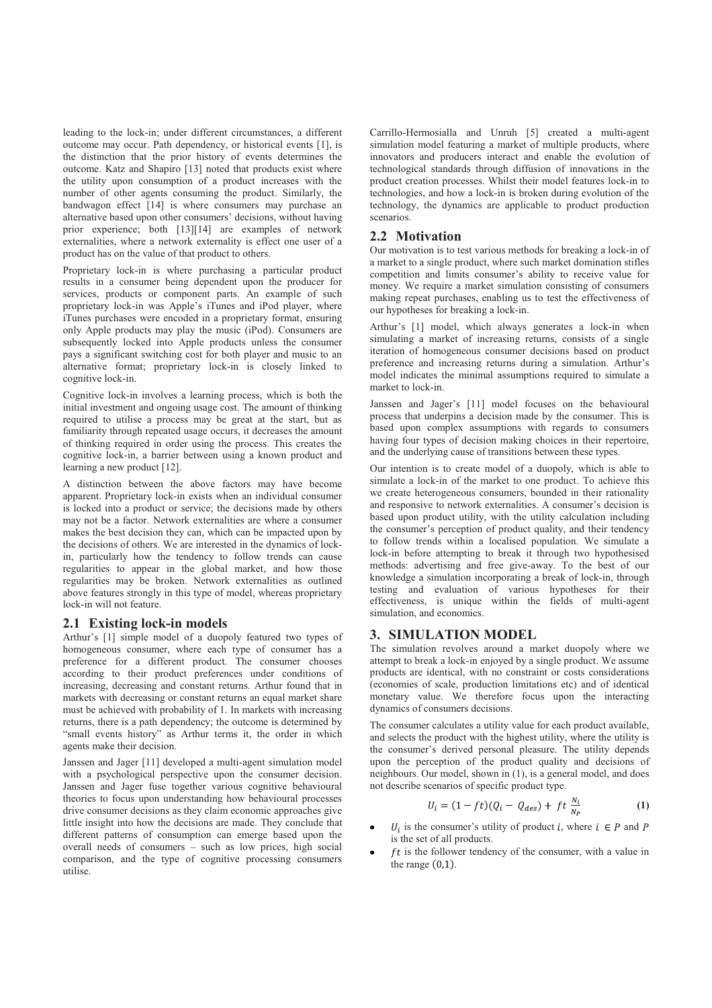leading to the lock-in; under different circumstances, a different outcome may occur. Path dependency, or historical events [1], is the distinction that the prior history of events determines the outcome. Katz and Shapiro [13] noted that products exist where the utility upon consumption of a product increases with the number of other agents consuming the product. Similarly, the bandwagon effect [14] is where consumers may purchase an alternative based upon other consumers' decisions, without having prior experience; both [13][14] are examples of network externalities, where a network externality is effect one user of a product has on the value of that product to others.

Proprietary lock-in is where purchasing a particular product results in a consumer being dependent upon the producer for services, products or component parts. An example of such proprietary lock-in was Apple's iTunes and iPod player, where iTunes purchases were encoded in a proprietary format, ensuring only Apple products may play the music (iPod). Consumers are subsequently locked into Apple products unless the consumer pays a significant switching cost for both player and music to an alternative format; proprietary lock-in is closely linked to cognitive lock-in.

Cognitive lock-in involves a learning process, which is both the initial investment and ongoing usage cost. The amount of thinking required to utilise a process may be great at the start, but as familiarity through repeated usage occurs, it decreases the amount of thinking required in order using the process. This creates the cognitive lock-in, a barrier between using a known product and learning a new product [12].

A distinction between the above factors may have become apparent. Proprietary lock-in exists when an individual consumer is locked into a product or service; the decisions made by others may not be a factor. Network externalities are where a consumer makes the best decision they can, which can be impacted upon by the decisions of others. We are interested in the dynamics of lockin, particularly how the tendency to follow trends can cause regularities to appear in the global market, and how those regularities may be broken. Network externalities as outlined above features strongly in this type of model, whereas proprietary lock-in will not feature.

### **2.1 Existing lock-in models**

Arthur's [1] simple model of a duopoly featured two types of homogeneous consumer, where each type of consumer has a preference for a different product. The consumer chooses according to their product preferences under conditions of increasing, decreasing and constant returns. Arthur found that in markets with decreasing or constant returns an equal market share must be achieved with probability of 1. In markets with increasing returns, there is a path dependency; the outcome is determined by "small events history" as Arthur terms it, the order in which agents make their decision.

Janssen and Jager [11] developed a multi-agent simulation model with a psychological perspective upon the consumer decision. Janssen and Jager fuse together various cognitive behavioural theories to focus upon understanding how behavioural processes drive consumer decisions as they claim economic approaches give little insight into how the decisions are made. They conclude that different patterns of consumption can emerge based upon the overall needs of consumers – such as low prices, high social comparison, and the type of cognitive processing consumers utilise.

Carrillo-Hermosialla and Unruh [5] created a multi-agent simulation model featuring a market of multiple products, where innovators and producers interact and enable the evolution of technological standards through diffusion of innovations in the product creation processes. Whilst their model features lock-in to technologies, and how a lock-in is broken during evolution of the technology, the dynamics are applicable to product production scenarios.

# **2.2 Motivation**

Our motivation is to test various methods for breaking a lock-in of a market to a single product, where such market domination stifles competition and limits consumer's ability to receive value for money. We require a market simulation consisting of consumers making repeat purchases, enabling us to test the effectiveness of our hypotheses for breaking a lock-in.

Arthur's [1] model, which always generates a lock-in when simulating a market of increasing returns, consists of a single iteration of homogeneous consumer decisions based on product preference and increasing returns during a simulation. Arthur's model indicates the minimal assumptions required to simulate a market to lock-in.

Janssen and Jager's [11] model focuses on the behavioural process that underpins a decision made by the consumer. This is based upon complex assumptions with regards to consumers having four types of decision making choices in their repertoire, and the underlying cause of transitions between these types.

Our intention is to create model of a duopoly, which is able to simulate a lock-in of the market to one product. To achieve this we create heterogeneous consumers, bounded in their rationality and responsive to network externalities. A consumer's decision is based upon product utility, with the utility calculation including the consumer's perception of product quality, and their tendency to follow trends within a localised population. We simulate a lock-in before attempting to break it through two hypothesised methods: advertising and free give-away. To the best of our knowledge a simulation incorporating a break of lock-in, through testing and evaluation of various hypotheses for their effectiveness, is unique within the fields of multi-agent simulation, and economics.

### **3. SIMULATION MODEL**

The simulation revolves around a market duopoly where we attempt to break a lock-in enjoyed by a single product. We assume products are identical, with no constraint or costs considerations (economies of scale, production limitations etc) and of identical monetary value. We therefore focus upon the interacting dynamics of consumers decisions.

The consumer calculates a utility value for each product available, and selects the product with the highest utility, where the utility is the consumer's derived personal pleasure. The utility depends upon the perception of the product quality and decisions of neighbours. Our model, shown in (1), is a general model, and does not describe scenarios of specific product type.

$$
U_i = (1 - ft)(Q_i - Q_{des}) + ft \frac{N_i}{N_P}
$$
 (1)

- $U_i$  is the consumer's utility of product i, where  $i \in P$  and P is the set of all products.
- $ft$  is the follower tendency of the consumer, with a value in the range  $(0,1)$ .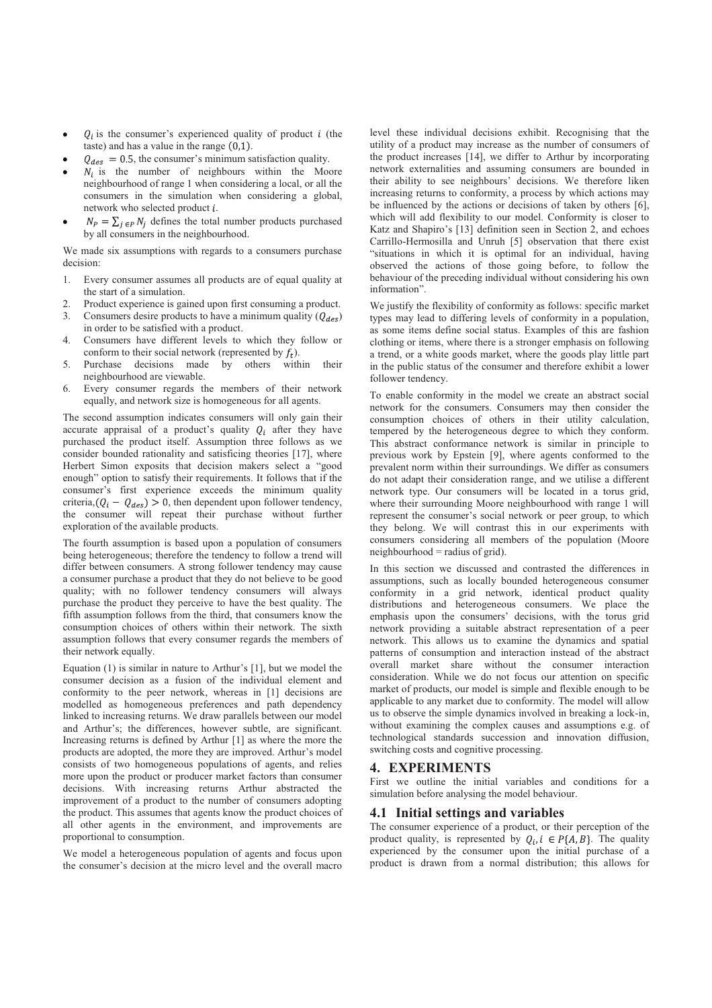- $Q_i$  is the consumer's experienced quality of product i (the taste) and has a value in the range  $(0,1)$ .
- $Q_{des} = 0.5$ , the consumer's minimum satisfaction quality.
- $N_i$  is the number of neighbours within the Moore neighbourhood of range 1 when considering a local, or all the consumers in the simulation when considering a global, network who selected product *i*.
- $N_P = \sum_{i \in P} N_i$  defines the total number products purchased by all consumers in the neighbourhood.

We made six assumptions with regards to a consumers purchase decision:

- 1. Every consumer assumes all products are of equal quality at the start of a simulation.
- 2. Product experience is gained upon first consuming a product.
- 3. Consumers desire products to have a minimum quality  $(Q_{des})$ in order to be satisfied with a product.
- 4. Consumers have different levels to which they follow or conform to their social network (represented by  $f_t$ ).
- 5. Purchase decisions made by others within their neighbourhood are viewable.
- 6. Every consumer regards the members of their network equally, and network size is homogeneous for all agents.

The second assumption indicates consumers will only gain their accurate appraisal of a product's quality  $Q_i$  after they have purchased the product itself. Assumption three follows as we consider bounded rationality and satisficing theories [17], where Herbert Simon exposits that decision makers select a "good enough" option to satisfy their requirements. It follows that if the consumer's first experience exceeds the minimum quality criteria,  $(Q_i - Q_{des}) > 0$ , then dependent upon follower tendency, the consumer will repeat their purchase without further exploration of the available products.

The fourth assumption is based upon a population of consumers being heterogeneous; therefore the tendency to follow a trend will differ between consumers. A strong follower tendency may cause a consumer purchase a product that they do not believe to be good quality; with no follower tendency consumers will always purchase the product they perceive to have the best quality. The fifth assumption follows from the third, that consumers know the consumption choices of others within their network. The sixth assumption follows that every consumer regards the members of their network equally.

Equation (1) is similar in nature to Arthur's [1], but we model the consumer decision as a fusion of the individual element and conformity to the peer network, whereas in [1] decisions are modelled as homogeneous preferences and path dependency linked to increasing returns. We draw parallels between our model and Arthur's; the differences, however subtle, are significant. Increasing returns is defined by Arthur [1] as where the more the products are adopted, the more they are improved. Arthur's model consists of two homogeneous populations of agents, and relies more upon the product or producer market factors than consumer decisions. With increasing returns Arthur abstracted the improvement of a product to the number of consumers adopting the product. This assumes that agents know the product choices of all other agents in the environment, and improvements are proportional to consumption.

We model a heterogeneous population of agents and focus upon the consumer's decision at the micro level and the overall macro level these individual decisions exhibit. Recognising that the utility of a product may increase as the number of consumers of the product increases [14], we differ to Arthur by incorporating network externalities and assuming consumers are bounded in their ability to see neighbours' decisions. We therefore liken increasing returns to conformity, a process by which actions may be influenced by the actions or decisions of taken by others [6], which will add flexibility to our model. Conformity is closer to Katz and Shapiro's [13] definition seen in Section 2, and echoes Carrillo-Hermosilla and Unruh [5] observation that there exist "situations in which it is optimal for an individual, having observed the actions of those going before, to follow the behaviour of the preceding individual without considering his own information".

We justify the flexibility of conformity as follows: specific market types may lead to differing levels of conformity in a population, as some items define social status. Examples of this are fashion clothing or items, where there is a stronger emphasis on following a trend, or a white goods market, where the goods play little part in the public status of the consumer and therefore exhibit a lower follower tendency.

To enable conformity in the model we create an abstract social network for the consumers. Consumers may then consider the consumption choices of others in their utility calculation, tempered by the heterogeneous degree to which they conform. This abstract conformance network is similar in principle to previous work by Epstein [9], where agents conformed to the prevalent norm within their surroundings. We differ as consumers do not adapt their consideration range, and we utilise a different network type. Our consumers will be located in a torus grid, where their surrounding Moore neighbourhood with range 1 will represent the consumer's social network or peer group, to which they belong. We will contrast this in our experiments with consumers considering all members of the population (Moore  $neighborhood = radius of grid$ .

In this section we discussed and contrasted the differences in assumptions, such as locally bounded heterogeneous consumer conformity in a grid network, identical product quality distributions and heterogeneous consumers. We place the emphasis upon the consumers' decisions, with the torus grid network providing a suitable abstract representation of a peer network. This allows us to examine the dynamics and spatial patterns of consumption and interaction instead of the abstract overall market share without the consumer interaction consideration. While we do not focus our attention on specific market of products, our model is simple and flexible enough to be applicable to any market due to conformity. The model will allow us to observe the simple dynamics involved in breaking a lock-in, without examining the complex causes and assumptions e.g. of technological standards succession and innovation diffusion, switching costs and cognitive processing.

## **4. EXPERIMENTS**

First we outline the initial variables and conditions for a simulation before analysing the model behaviour.

#### **4.1 Initial settings and variables**

The consumer experience of a product, or their perception of the product quality, is represented by  $Q_i$ ,  $i \in P\{A, B\}$ . The quality experienced by the consumer upon the initial purchase of a product is drawn from a normal distribution; this allows for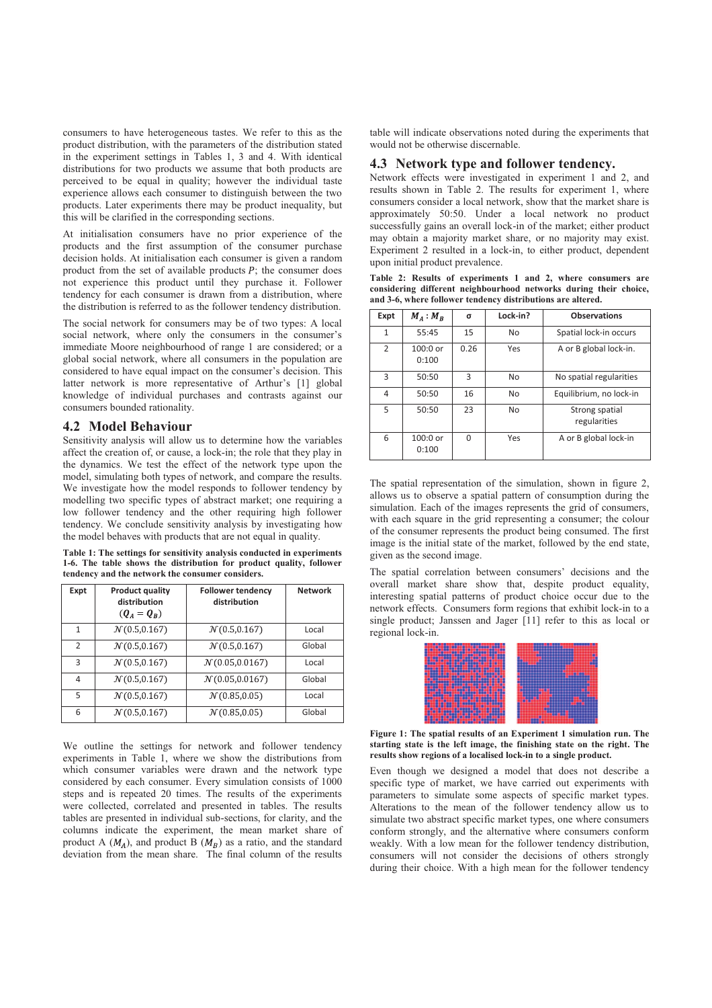consumers to have heterogeneous tastes. We refer to this as the product distribution, with the parameters of the distribution stated in the experiment settings in Tables 1, 3 and 4. With identical distributions for two products we assume that both products are perceived to be equal in quality; however the individual taste experience allows each consumer to distinguish between the two products. Later experiments there may be product inequality, but this will be clarified in the corresponding sections.

At initialisation consumers have no prior experience of the products and the first assumption of the consumer purchase decision holds. At initialisation each consumer is given a random product from the set of available products  $P$ ; the consumer does not experience this product until they purchase it. Follower tendency for each consumer is drawn from a distribution, where the distribution is referred to as the follower tendency distribution.

The social network for consumers may be of two types: A local social network, where only the consumers in the consumer's immediate Moore neighbourhood of range 1 are considered; or a global social network, where all consumers in the population are considered to have equal impact on the consumer's decision. This latter network is more representative of Arthur's [1] global knowledge of individual purchases and contrasts against our consumers bounded rationality.

## **4.2 Model Behaviour**

Sensitivity analysis will allow us to determine how the variables affect the creation of, or cause, a lock-in; the role that they play in the dynamics. We test the effect of the network type upon the model, simulating both types of network, and compare the results. We investigate how the model responds to follower tendency by modelling two specific types of abstract market; one requiring a low follower tendency and the other requiring high follower tendency. We conclude sensitivity analysis by investigating how the model behaves with products that are not equal in quality.

**Table 1: The settings for sensitivity analysis conducted in experiments 1-6. The table shows the distribution for product quality, follower tendency and the network the consumer considers.**

| Expt           | <b>Product quality</b><br>distribution<br>$(Q_A = Q_B)$ | <b>Follower tendency</b><br>distribution | <b>Network</b> |
|----------------|---------------------------------------------------------|------------------------------------------|----------------|
| 1              | N(0.5, 0.167)                                           | $\mathcal{N}(0.5, 0.167)$                | Local          |
| $\overline{2}$ | N(0.5, 0.167)                                           | $\mathcal{N}(0.5, 0.167)$                | Global         |
| $\overline{3}$ | N(0.5, 0.167)                                           | N(0.05, 0.0167)                          | Local          |
| 4              | N(0.5, 0.167)                                           | N(0.05, 0.0167)                          | Global         |
| 5              | $\mathcal{N}(0.5, 0.167)$                               | N(0.85, 0.05)                            | Local          |
| 6              | N(0.5.0.167)                                            | N(0.85, 0.05)                            | Global         |

We outline the settings for network and follower tendency experiments in Table 1, where we show the distributions from which consumer variables were drawn and the network type considered by each consumer. Every simulation consists of 1000 steps and is repeated 20 times. The results of the experiments were collected, correlated and presented in tables. The results tables are presented in individual sub-sections, for clarity, and the columns indicate the experiment, the mean market share of product A  $(M_A)$ , and product B  $(M_B)$  as a ratio, and the standard deviation from the mean share. The final column of the results table will indicate observations noted during the experiments that would not be otherwise discernable.

#### **4.3 Network type and follower tendency.**

Network effects were investigated in experiment 1 and 2, and results shown in Table 2. The results for experiment 1, where consumers consider a local network, show that the market share is approximately 50:50. Under a local network no product successfully gains an overall lock-in of the market; either product may obtain a majority market share, or no majority may exist. Experiment 2 resulted in a lock-in, to either product, dependent upon initial product prevalence.

**Table 2: Results of experiments 1 and 2, where consumers are considering different neighbourhood networks during their choice, and 3-6, where follower tendency distributions are altered.**

| Expt           | $M_A$ : $M_B$       | σ    | Lock-in? | <b>Observations</b>            |
|----------------|---------------------|------|----------|--------------------------------|
| 1              | 55:45               | 15   | No       | Spatial lock-in occurs         |
| $\overline{2}$ | $100:0$ or<br>0:100 | 0.26 | Yes      | A or B global lock-in.         |
| 3              | 50:50               | 3    | No       | No spatial regularities        |
| 4              | 50:50               | 16   | No       | Equilibrium, no lock-in        |
| 5              | 50:50               | 23   | No       | Strong spatial<br>regularities |
| 6              | $100:0$ or<br>0:100 | 0    | Yes      | A or B global lock-in          |

The spatial representation of the simulation, shown in figure 2, allows us to observe a spatial pattern of consumption during the simulation. Each of the images represents the grid of consumers, with each square in the grid representing a consumer; the colour of the consumer represents the product being consumed. The first image is the initial state of the market, followed by the end state, given as the second image.

The spatial correlation between consumers' decisions and the overall market share show that, despite product equality, interesting spatial patterns of product choice occur due to the network effects. Consumers form regions that exhibit lock-in to a single product; Janssen and Jager [11] refer to this as local or regional lock-in.



**Figure 1: The spatial results of an Experiment 1 simulation run. The starting state is the left image, the finishing state on the right. The results show regions of a localised lock-in to a single product.** 

Even though we designed a model that does not describe a specific type of market, we have carried out experiments with parameters to simulate some aspects of specific market types. Alterations to the mean of the follower tendency allow us to simulate two abstract specific market types, one where consumers conform strongly, and the alternative where consumers conform weakly. With a low mean for the follower tendency distribution, consumers will not consider the decisions of others strongly during their choice. With a high mean for the follower tendency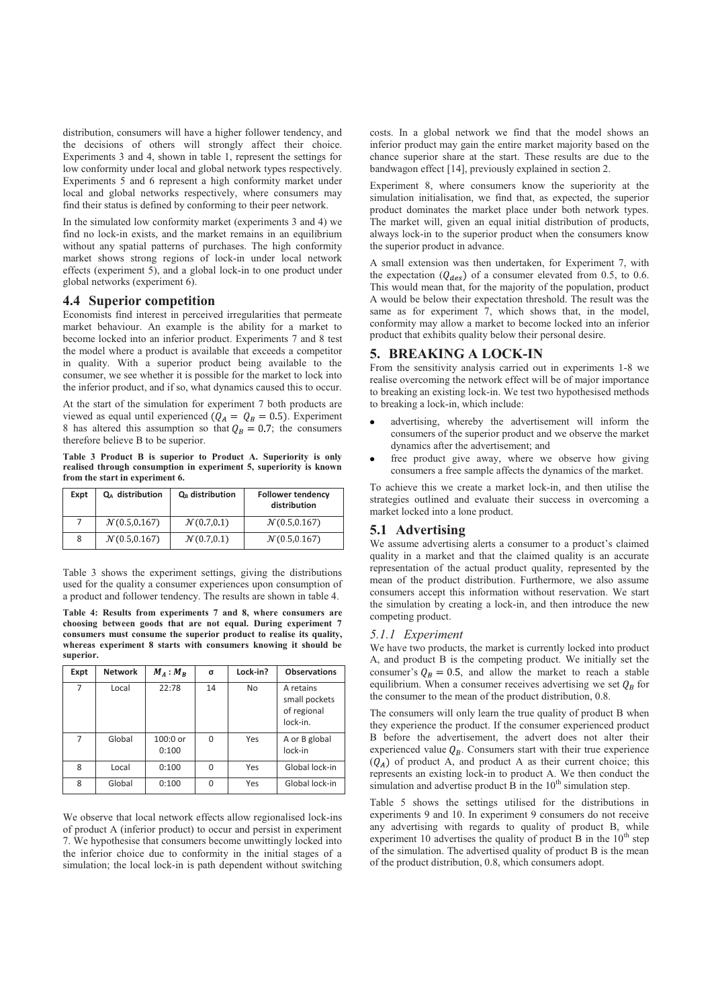distribution, consumers will have a higher follower tendency, and the decisions of others will strongly affect their choice. Experiments 3 and 4, shown in table 1, represent the settings for low conformity under local and global network types respectively. Experiments 5 and 6 represent a high conformity market under local and global networks respectively, where consumers may find their status is defined by conforming to their peer network.

In the simulated low conformity market (experiments 3 and 4) we find no lock-in exists, and the market remains in an equilibrium without any spatial patterns of purchases. The high conformity market shows strong regions of lock-in under local network effects (experiment 5), and a global lock-in to one product under global networks (experiment 6).

#### **4.4 Superior competition**

Economists find interest in perceived irregularities that permeate market behaviour. An example is the ability for a market to become locked into an inferior product. Experiments 7 and 8 test the model where a product is available that exceeds a competitor in quality. With a superior product being available to the consumer, we see whether it is possible for the market to lock into the inferior product, and if so, what dynamics caused this to occur.

At the start of the simulation for experiment 7 both products are viewed as equal until experienced  $(Q_A = Q_B = 0.5)$ . Experiment 8 has altered this assumption so that  $Q_R = 0.7$ ; the consumers therefore believe B to be superior.

**Table 3 Product B is superior to Product A. Superiority is only realised through consumption in experiment 5, superiority is known from the start in experiment 6.**

| Expt | $Q_A$ distribution        | $Q_R$ distribution      | <b>Follower tendency</b><br>distribution |
|------|---------------------------|-------------------------|------------------------------------------|
|      | $\mathcal{N}(0.5, 0.167)$ | $\mathcal{N}(0.7, 0.1)$ | $\mathcal{N}(0.5, 0.167)$                |
| 8    | $\mathcal{N}(0.5, 0.167)$ | $\mathcal{N}(0.7, 0.1)$ | $\mathcal{N}(0.5, 0.167)$                |

Table 3 shows the experiment settings, giving the distributions used for the quality a consumer experiences upon consumption of a product and follower tendency. The results are shown in table 4.

**Table 4: Results from experiments 7 and 8, where consumers are choosing between goods that are not equal. During experiment 7 consumers must consume the superior product to realise its quality, whereas experiment 8 starts with consumers knowing it should be superior.**

| Expt | <b>Network</b> | $M_A$ : $M_B$       | σ        | Lock-in? | <b>Observations</b>                                   |
|------|----------------|---------------------|----------|----------|-------------------------------------------------------|
| 7    | Local          | 22:78               | 14       | No       | A retains<br>small pockets<br>of regional<br>lock-in. |
| 7    | Global         | $100:0$ or<br>0:100 | $\Omega$ | Yes      | A or B global<br>lock-in                              |
| 8    | Local          | 0:100               | U        | Yes      | Global lock-in                                        |
| 8    | Global         | 0:100               | U        | Yes      | Global lock-in                                        |

We observe that local network effects allow regionalised lock-ins of product A (inferior product) to occur and persist in experiment 7. We hypothesise that consumers become unwittingly locked into the inferior choice due to conformity in the initial stages of a simulation; the local lock-in is path dependent without switching

costs. In a global network we find that the model shows an inferior product may gain the entire market majority based on the chance superior share at the start. These results are due to the bandwagon effect [14], previously explained in section 2.

Experiment 8, where consumers know the superiority at the simulation initialisation, we find that, as expected, the superior product dominates the market place under both network types. The market will, given an equal initial distribution of products, always lock-in to the superior product when the consumers know the superior product in advance.

A small extension was then undertaken, for Experiment 7, with the expectation  $(Q_{des})$  of a consumer elevated from 0.5, to 0.6. This would mean that, for the majority of the population, product A would be below their expectation threshold. The result was the same as for experiment 7, which shows that, in the model, conformity may allow a market to become locked into an inferior product that exhibits quality below their personal desire.

## **5. BREAKING A LOCK-IN**

From the sensitivity analysis carried out in experiments 1-8 we realise overcoming the network effect will be of major importance to breaking an existing lock-in. We test two hypothesised methods to breaking a lock-in, which include:

- advertising, whereby the advertisement will inform the consumers of the superior product and we observe the market dynamics after the advertisement; and
- free product give away, where we observe how giving consumers a free sample affects the dynamics of the market.

To achieve this we create a market lock-in, and then utilise the strategies outlined and evaluate their success in overcoming a market locked into a lone product.

#### **5.1 Advertising**

We assume advertising alerts a consumer to a product's claimed quality in a market and that the claimed quality is an accurate representation of the actual product quality, represented by the mean of the product distribution. Furthermore, we also assume consumers accept this information without reservation. We start the simulation by creating a lock-in, and then introduce the new competing product.

#### *5.1.1 Experiment*

We have two products, the market is currently locked into product A, and product B is the competing product. We initially set the consumer's  $Q_B = 0.5$ , and allow the market to reach a stable equilibrium. When a consumer receives advertising we set  $Q_B$  for the consumer to the mean of the product distribution, 0.8.

The consumers will only learn the true quality of product B when they experience the product. If the consumer experienced product B before the advertisement, the advert does not alter their experienced value  $Q_B$ . Consumers start with their true experience  $(Q_A)$  of product A, and product A as their current choice; this represents an existing lock-in to product A. We then conduct the simulation and advertise product B in the  $10<sup>th</sup>$  simulation step.

Table 5 shows the settings utilised for the distributions in experiments 9 and 10. In experiment 9 consumers do not receive any advertising with regards to quality of product B, while experiment 10 advertises the quality of product B in the  $10<sup>th</sup>$  step of the simulation. The advertised quality of product B is the mean of the product distribution, 0.8, which consumers adopt.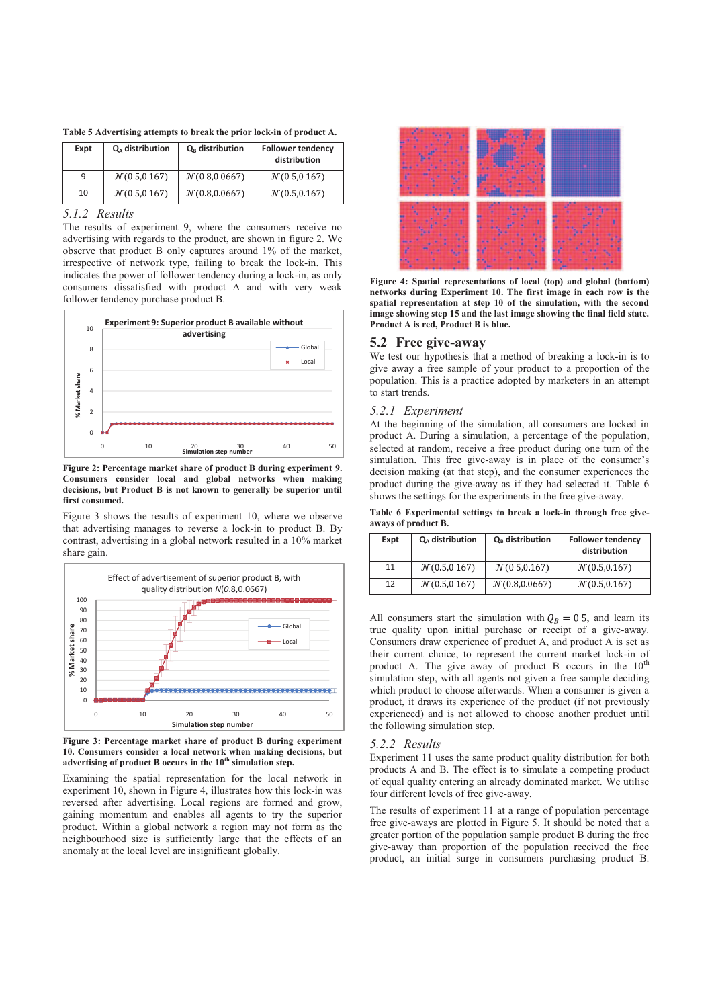| Expt | Q <sub>A</sub> distribution | $Q_B$ distribution | <b>Follower tendency</b><br>distribution |
|------|-----------------------------|--------------------|------------------------------------------|
|      | N(0.5, 0.167)               | N(0.8, 0.0667)     | N(0.5, 0.167)                            |
| 10   | N(0.5, 0.167)               | N(0.8, 0.0667)     | N(0.5, 0.167)                            |

#### *5.1.2 Results*

The results of experiment 9, where the consumers receive no advertising with regards to the product, are shown in figure 2. We observe that product B only captures around 1% of the market, irrespective of network type, failing to break the lock-in. This indicates the power of follower tendency during a lock-in, as only consumers dissatisfied with product A and with very weak follower tendency purchase product B.



**Figure 2: Percentage market share of product B during experiment 9. Consumers consider local and global networks when making decisions, but Product B is not known to generally be superior until first consumed.** 

Figure 3 shows the results of experiment 10, where we observe that advertising manages to reverse a lock-in to product B. By contrast, advertising in a global network resulted in a 10% market share gain.



**Figure 3: Percentage market share of product B during experiment 10. Consumers consider a local network when making decisions, but advertising of product B occurs in the 10th simulation step.** 

Examining the spatial representation for the local network in experiment 10, shown in Figure 4, illustrates how this lock-in was reversed after advertising. Local regions are formed and grow, gaining momentum and enables all agents to try the superior product. Within a global network a region may not form as the neighbourhood size is sufficiently large that the effects of an anomaly at the local level are insignificant globally.



**Figure 4: Spatial representations of local (top) and global (bottom) networks during Experiment 10. The first image in each row is the spatial representation at step 10 of the simulation, with the second image showing step 15 and the last image showing the final field state. Product A is red, Product B is blue.**

# **5.2 Free give-away**

We test our hypothesis that a method of breaking a lock-in is to give away a free sample of your product to a proportion of the population. This is a practice adopted by marketers in an attempt to start trends.

#### *5.2.1 Experiment*

At the beginning of the simulation, all consumers are locked in product A. During a simulation, a percentage of the population, selected at random, receive a free product during one turn of the simulation. This free give-away is in place of the consumer's decision making (at that step), and the consumer experiences the product during the give-away as if they had selected it. Table 6 shows the settings for the experiments in the free give-away.

**Table 6 Experimental settings to break a lock-in through free giveaways of product B.**

| Expt | Q <sub>A</sub> distribution | $Q_B$ distribution | <b>Follower tendency</b><br>distribution |
|------|-----------------------------|--------------------|------------------------------------------|
| 11   | N(0.5, 0.167)               | N(0.5, 0.167)      | N(0.5, 0.167)                            |
| 12   | N(0.5, 0.167)               | N(0.8, 0.0667)     | N(0.5, 0.167)                            |

All consumers start the simulation with  $Q_R = 0.5$ , and learn its true quality upon initial purchase or receipt of a give-away. Consumers draw experience of product A, and product A is set as their current choice, to represent the current market lock-in of product A. The give–away of product B occurs in the  $10^{th}$ simulation step, with all agents not given a free sample deciding which product to choose afterwards. When a consumer is given a product, it draws its experience of the product (if not previously experienced) and is not allowed to choose another product until the following simulation step.

#### *5.2.2 Results*

Experiment 11 uses the same product quality distribution for both products A and B. The effect is to simulate a competing product of equal quality entering an already dominated market. We utilise four different levels of free give-away.

The results of experiment 11 at a range of population percentage free give-aways are plotted in Figure 5. It should be noted that a greater portion of the population sample product B during the free give-away than proportion of the population received the free product, an initial surge in consumers purchasing product B.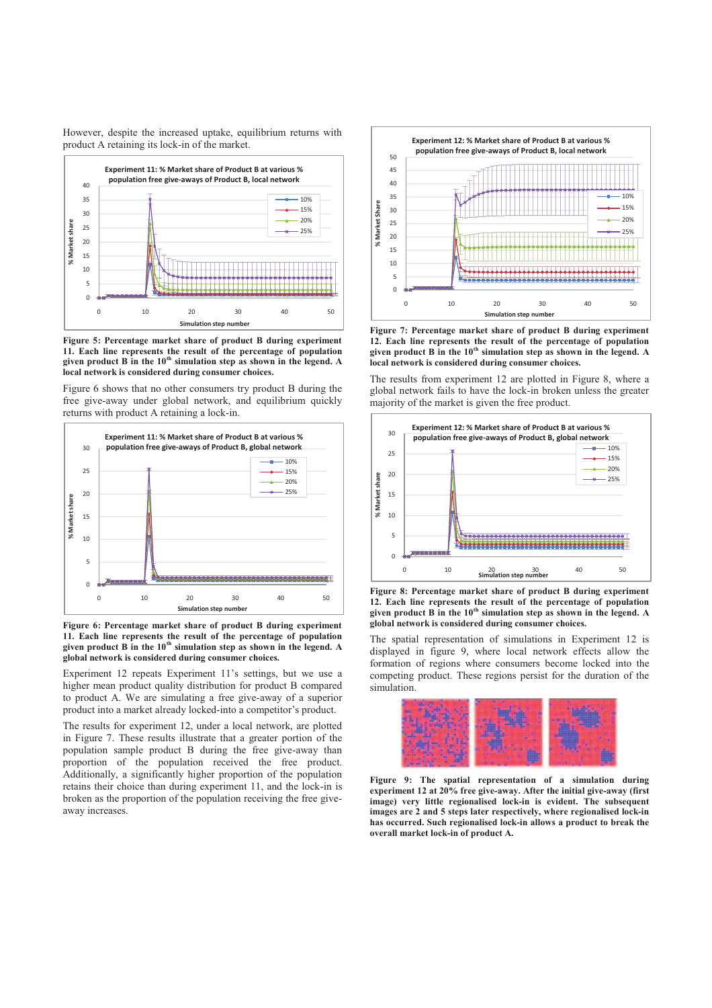However, despite the increased uptake, equilibrium returns with product A retaining its lock-in of the market.



**Figure 5: Percentage market share of product B during experiment 11. Each line represents the result of the percentage of population given product B in the 10th simulation step as shown in the legend. A local network is considered during consumer choices.** 

Figure 6 shows that no other consumers try product B during the free give-away under global network, and equilibrium quickly returns with product A retaining a lock-in.



**Figure 6: Percentage market share of product B during experiment 11. Each line represents the result of the percentage of population given product B in the 10th simulation step as shown in the legend. A global network is considered during consumer choices.** 

Experiment 12 repeats Experiment 11's settings, but we use a higher mean product quality distribution for product B compared to product A. We are simulating a free give-away of a superior product into a market already locked-into a competitor's product.

The results for experiment 12, under a local network, are plotted in Figure 7. These results illustrate that a greater portion of the population sample product B during the free give-away than proportion of the population received the free product. Additionally, a significantly higher proportion of the population retains their choice than during experiment 11, and the lock-in is broken as the proportion of the population receiving the free giveaway increases.



**Figure 7: Percentage market share of product B during experiment 12. Each line represents the result of the percentage of population given product B in the 10th simulation step as shown in the legend. A local network is considered during consumer choices.** 

The results from experiment 12 are plotted in Figure 8, where a global network fails to have the lock-in broken unless the greater majority of the market is given the free product.



**Figure 8: Percentage market share of product B during experiment 12. Each line represents the result of the percentage of population given product B in the 10th simulation step as shown in the legend. A global network is considered during consumer choices.**

The spatial representation of simulations in Experiment 12 is displayed in figure 9, where local network effects allow the formation of regions where consumers become locked into the competing product. These regions persist for the duration of the simulation.



**Figure 9: The spatial representation of a simulation during experiment 12 at 20% free give-away. After the initial give-away (first image) very little regionalised lock-in is evident. The subsequent images are 2 and 5 steps later respectively, where regionalised lock-in has occurred. Such regionalised lock-in allows a product to break the overall market lock-in of product A.**